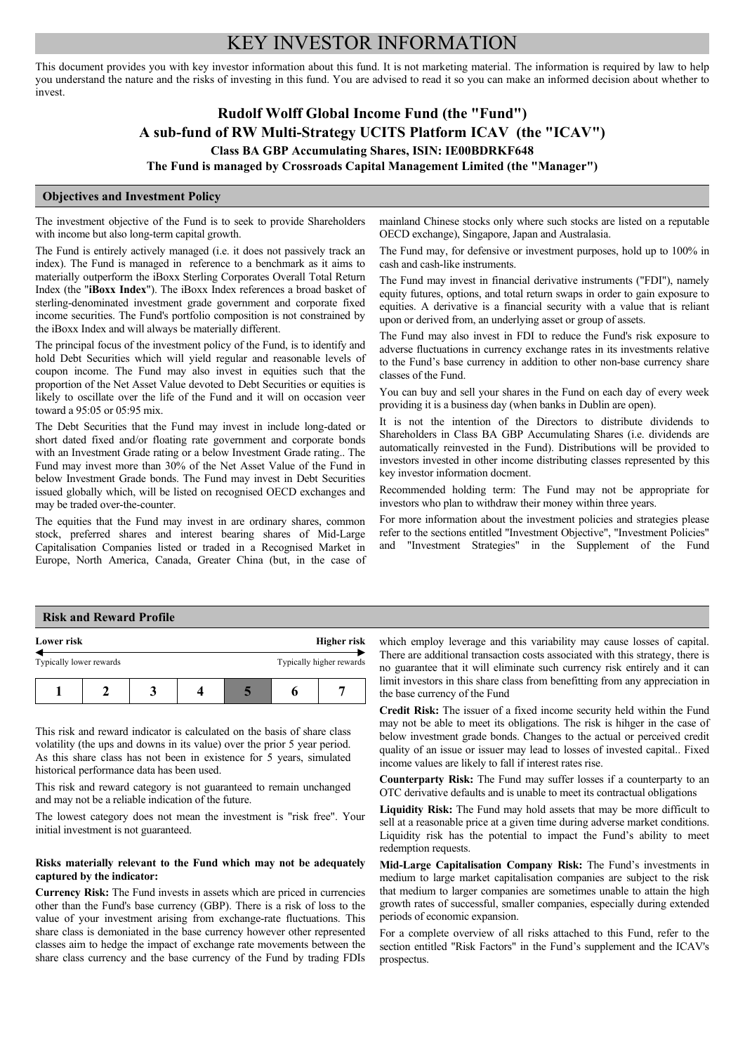# KEY INVESTOR INFORMATION

This document provides you with key investor information about this fund. It is not marketing material. The information is required by law to help you understand the nature and the risks of investing in this fund. You are advised to read it so you can make an informed decision about whether to invest.

# **Rudolf Wolff Global Income Fund (the "Fund") A sub-fund of RW Multi-Strategy UCITS Platform ICAV (the "ICAV") Class BA GBP Accumulating Shares, ISIN: IE00BDRKF648**

**The Fund is managed by Crossroads Capital Management Limited (the "Manager")**

## **Objectives and Investment Policy**

The investment objective of the Fund is to seek to provide Shareholders with income but also long-term capital growth.

The Fund is entirely actively managed (i.e. it does not passively track an index). The Fund is managed in reference to a benchmark as it aims to materially outperform the iBoxx Sterling Corporates Overall Total Return Index (the "**iBoxx Index**"). The iBoxx Index references a broad basket of sterling-denominated investment grade government and corporate fixed income securities. The Fund's portfolio composition is not constrained by the iBoxx Index and will always be materially different.

The principal focus of the investment policy of the Fund, is to identify and hold Debt Securities which will yield regular and reasonable levels of coupon income. The Fund may also invest in equities such that the proportion of the Net Asset Value devoted to Debt Securities or equities is likely to oscillate over the life of the Fund and it will on occasion veer toward a 95:05 or 05:95 mix.

The Debt Securities that the Fund may invest in include long-dated or short dated fixed and/or floating rate government and corporate bonds with an Investment Grade rating or a below Investment Grade rating.. The Fund may invest more than 30% of the Net Asset Value of the Fund in below Investment Grade bonds. The Fund may invest in Debt Securities issued globally which, will be listed on recognised OECD exchanges and may be traded over-the-counter.

The equities that the Fund may invest in are ordinary shares, common stock, preferred shares and interest bearing shares of Mid-Large Capitalisation Companies listed or traded in a Recognised Market in Europe, North America, Canada, Greater China (but, in the case of mainland Chinese stocks only where such stocks are listed on a reputable OECD exchange), Singapore, Japan and Australasia.

The Fund may, for defensive or investment purposes, hold up to 100% in cash and cash-like instruments.

The Fund may invest in financial derivative instruments ("FDI"), namely equity futures, options, and total return swaps in order to gain exposure to equities. A derivative is a financial security with a value that is reliant upon or derived from, an underlying asset or group of assets.

The Fund may also invest in FDI to reduce the Fund's risk exposure to adverse fluctuations in currency exchange rates in its investments relative to the Fund's base currency in addition to other non-base currency share classes of the Fund.

You can buy and sell your shares in the Fund on each day of every week providing it is a business day (when banks in Dublin are open).

It is not the intention of the Directors to distribute dividends to Shareholders in Class BA GBP Accumulating Shares (i.e. dividends are automatically reinvested in the Fund). Distributions will be provided to investors invested in other income distributing classes represented by this key investor information docment.

Recommended holding term: The Fund may not be appropriate for investors who plan to withdraw their money within three years.

For more information about the investment policies and strategies please refer to the sections entitled "Investment Objective", "Investment Policies" and "Investment Strategies" in the Supplement of the Fund

#### **Risk and Reward Profile**

| Lower risk              |  | Higher risk |                          |  |
|-------------------------|--|-------------|--------------------------|--|
| Typically lower rewards |  |             | Typically higher rewards |  |
|                         |  |             |                          |  |

This risk and reward indicator is calculated on the basis of share class volatility (the ups and downs in its value) over the prior 5 year period. As this share class has not been in existence for 5 years, simulated historical performance data has been used.

This risk and reward category is not guaranteed to remain unchanged and may not be a reliable indication of the future.

The lowest category does not mean the investment is "risk free". Your initial investment is not guaranteed.

### **Risks materially relevant to the Fund which may not be adequately captured by the indicator:**

**Currency Risk:** The Fund invests in assets which are priced in currencies other than the Fund's base currency (GBP). There is a risk of loss to the value of your investment arising from exchange-rate fluctuations. This share class is demoniated in the base currency however other represented classes aim to hedge the impact of exchange rate movements between the share class currency and the base currency of the Fund by trading FDIs

which employ leverage and this variability may cause losses of capital. There are additional transaction costs associated with this strategy, there is no guarantee that it will eliminate such currency risk entirely and it can limit investors in this share class from benefitting from any appreciation in the base currency of the Fund

**Credit Risk:** The issuer of a fixed income security held within the Fund may not be able to meet its obligations. The risk is hihger in the case of below investment grade bonds. Changes to the actual or perceived credit quality of an issue or issuer may lead to losses of invested capital.. Fixed income values are likely to fall if interest rates rise.

**Counterparty Risk:** The Fund may suffer losses if a counterparty to an OTC derivative defaults and is unable to meet its contractual obligations

**Liquidity Risk:** The Fund may hold assets that may be more difficult to sell at a reasonable price at a given time during adverse market conditions. Liquidity risk has the potential to impact the Fund's ability to meet redemption requests.

**Mid-Large Capitalisation Company Risk:** The Fund's investments in medium to large market capitalisation companies are subject to the risk that medium to larger companies are sometimes unable to attain the high growth rates of successful, smaller companies, especially during extended periods of economic expansion.

For a complete overview of all risks attached to this Fund, refer to the section entitled "Risk Factors" in the Fund's supplement and the ICAV's prospectus.